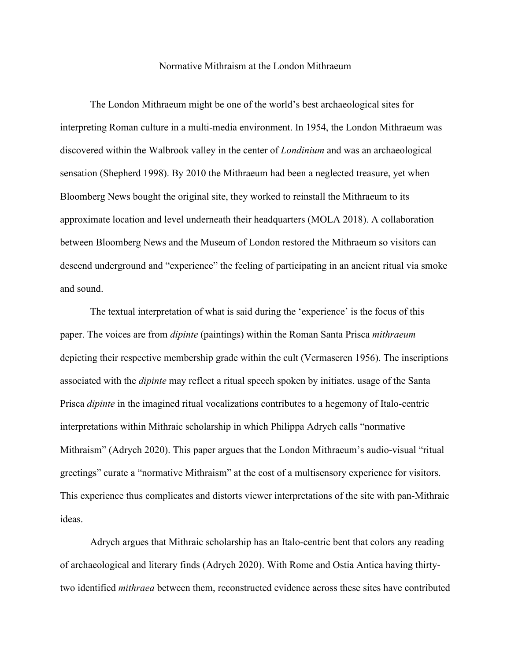## Normative Mithraism at the London Mithraeum

The London Mithraeum might be one of the world's best archaeological sites for interpreting Roman culture in a multi-media environment. In 1954, the London Mithraeum was discovered within the Walbrook valley in the center of *Londinium* and was an archaeological sensation (Shepherd 1998). By 2010 the Mithraeum had been a neglected treasure, yet when Bloomberg News bought the original site, they worked to reinstall the Mithraeum to its approximate location and level underneath their headquarters (MOLA 2018). A collaboration between Bloomberg News and the Museum of London restored the Mithraeum so visitors can descend underground and "experience" the feeling of participating in an ancient ritual via smoke and sound.

The textual interpretation of what is said during the 'experience' is the focus of this paper. The voices are from *dipinte* (paintings) within the Roman Santa Prisca *mithraeum* depicting their respective membership grade within the cult (Vermaseren 1956). The inscriptions associated with the *dipinte* may reflect a ritual speech spoken by initiates. usage of the Santa Prisca *dipinte* in the imagined ritual vocalizations contributes to a hegemony of Italo-centric interpretations within Mithraic scholarship in which Philippa Adrych calls "normative Mithraism" (Adrych 2020). This paper argues that the London Mithraeum's audio-visual "ritual greetings" curate a "normative Mithraism" at the cost of a multisensory experience for visitors. This experience thus complicates and distorts viewer interpretations of the site with pan-Mithraic ideas.

Adrych argues that Mithraic scholarship has an Italo-centric bent that colors any reading of archaeological and literary finds (Adrych 2020). With Rome and Ostia Antica having thirtytwo identified *mithraea* between them, reconstructed evidence across these sites have contributed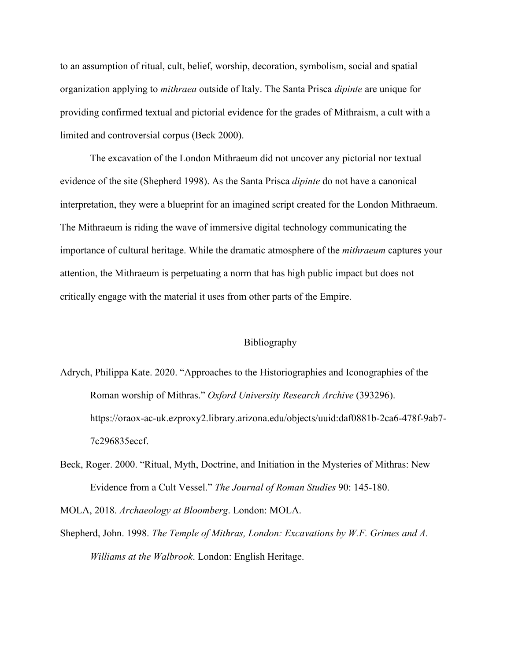to an assumption of ritual, cult, belief, worship, decoration, symbolism, social and spatial organization applying to *mithraea* outside of Italy. The Santa Prisca *dipinte* are unique for providing confirmed textual and pictorial evidence for the grades of Mithraism, a cult with a limited and controversial corpus (Beck 2000).

The excavation of the London Mithraeum did not uncover any pictorial nor textual evidence of the site (Shepherd 1998). As the Santa Prisca *dipinte* do not have a canonical interpretation, they were a blueprint for an imagined script created for the London Mithraeum. The Mithraeum is riding the wave of immersive digital technology communicating the importance of cultural heritage. While the dramatic atmosphere of the *mithraeum* captures your attention, the Mithraeum is perpetuating a norm that has high public impact but does not critically engage with the material it uses from other parts of the Empire.

## Bibliography

- Adrych, Philippa Kate. 2020. "Approaches to the Historiographies and Iconographies of the Roman worship of Mithras." *Oxford University Research Archive* (393296). https://oraox-ac-uk.ezproxy2.library.arizona.edu/objects/uuid:daf0881b-2ca6-478f-9ab7- 7c296835eccf.
- Beck, Roger. 2000. "Ritual, Myth, Doctrine, and Initiation in the Mysteries of Mithras: New Evidence from a Cult Vessel." *The Journal of Roman Studies* 90: 145-180.

MOLA, 2018. *Archaeology at Bloomberg*. London: MOLA.

Shepherd, John. 1998. *The Temple of Mithras, London: Excavations by W.F. Grimes and A. Williams at the Walbrook*. London: English Heritage.